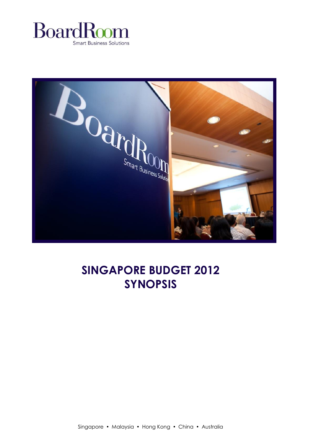



# **SINGAPORE BUDGET 2012 SYNOPSIS**

Singapore • Malaysia • Hong Kong • China • Australia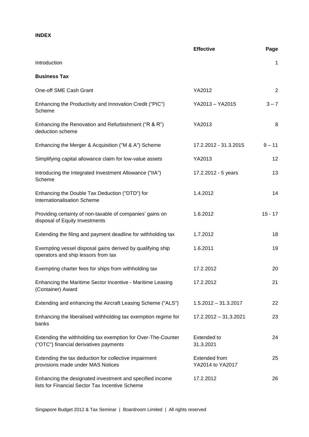# **INDEX**

|                                                                                                             | <b>Effective</b>                         | Page      |
|-------------------------------------------------------------------------------------------------------------|------------------------------------------|-----------|
| Introduction                                                                                                |                                          | 1         |
| <b>Business Tax</b>                                                                                         |                                          |           |
| One-off SME Cash Grant                                                                                      | YA2012                                   | 2         |
| Enhancing the Productivity and Innovation Credit ("PIC")<br>Scheme                                          | YA2013 - YA2015                          | $3 - 7$   |
| Enhancing the Renovation and Refurbishment ("R & R")<br>deduction scheme                                    | YA2013                                   | 8         |
| Enhancing the Merger & Acquisition ("M & A") Scheme                                                         | 17.2.2012 - 31.3.2015                    | $9 - 11$  |
| Simplifying capital allowance claim for low-value assets                                                    | YA2013                                   | 12        |
| Introducing the Integrated Investment Allowance ("IIA")<br>Scheme                                           | 17.2.2012 - 5 years                      | 13        |
| Enhancing the Double Tax Deduction ("DTD") for<br>Internationalisation Scheme                               | 1.4.2012                                 | 14        |
| Providing certainty of non-taxable of companies' gains on<br>disposal of Equity Investments                 | 1.6.2012                                 | $15 - 17$ |
| Extending the filing and payment deadline for withholding tax                                               | 1.7.2012                                 | 18        |
| Exempting vessel disposal gains derived by qualifying ship<br>operators and ship lessors from tax           | 1.6.2011                                 | 19        |
| Exempting charter fees for ships from withholding tax                                                       | 17.2.2012                                | 20        |
| Enhancing the Maritime Sector Incentive - Maritime Leasing<br>(Container) Award                             | 17.2.2012                                | 21        |
| Extending and enhancing the Aircraft Leasing Scheme ("ALS")                                                 | $1.5.2012 - 31.3.2017$                   | 22        |
| Enhancing the liberalised withholding tax exemption regime for<br>banks                                     | 17.2.2012 - 31.3.2021                    | 23        |
| Extending the withholding tax exemption for Over-The-Counter<br>("OTC") financial derivatives payments      | <b>Extended to</b><br>31.3.2021          | 24        |
| Extending the tax deduction for collective impairment<br>provisions made under MAS Notices                  | <b>Extended from</b><br>YA2014 to YA2017 | 25        |
| Enhancing the designated investment and specified income<br>lists for Financial Sector Tax Incentive Scheme | 17.2.2012                                | 26        |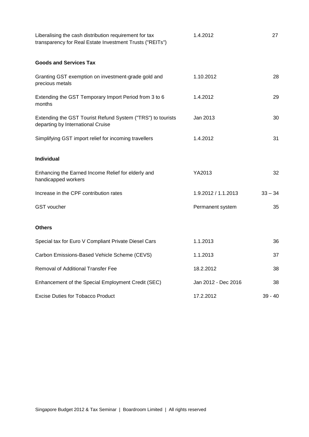| Liberalising the cash distribution requirement for tax<br>transparency for Real Estate Investment Trusts ("REITs") | 1.4.2012            | 27        |
|--------------------------------------------------------------------------------------------------------------------|---------------------|-----------|
| <b>Goods and Services Tax</b>                                                                                      |                     |           |
| Granting GST exemption on investment-grade gold and<br>precious metals                                             | 1.10.2012           | 28        |
| Extending the GST Temporary Import Period from 3 to 6<br>months                                                    | 1.4.2012            | 29        |
| Extending the GST Tourist Refund System ("TRS") to tourists<br>departing by International Cruise                   | Jan 2013            | 30        |
| Simplifying GST import relief for incoming travellers                                                              | 1.4.2012            | 31        |
| <b>Individual</b>                                                                                                  |                     |           |
| Enhancing the Earned Income Relief for elderly and<br>handicapped workers                                          | YA2013              | 32        |
| Increase in the CPF contribution rates                                                                             | 1.9.2012 / 1.1.2013 | $33 - 34$ |
| <b>GST</b> voucher                                                                                                 | Permanent system    | 35        |
| <b>Others</b>                                                                                                      |                     |           |
| Special tax for Euro V Compliant Private Diesel Cars                                                               | 1.1.2013            | 36        |
| Carbon Emissions-Based Vehicle Scheme (CEVS)                                                                       | 1.1.2013            | 37        |
| Removal of Additional Transfer Fee                                                                                 | 18.2.2012           | 38        |
| Enhancement of the Special Employment Credit (SEC)                                                                 | Jan 2012 - Dec 2016 | 38        |
| <b>Excise Duties for Tobacco Product</b>                                                                           | 17.2.2012           | $39 - 40$ |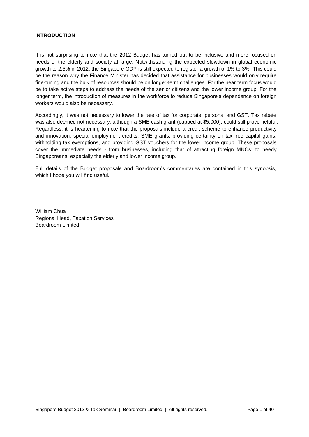#### **INTRODUCTION**

It is not surprising to note that the 2012 Budget has turned out to be inclusive and more focused on needs of the elderly and society at large. Notwithstanding the expected slowdown in global economic growth to 2.5% in 2012, the Singapore GDP is still expected to register a growth of 1% to 3%. This could be the reason why the Finance Minister has decided that assistance for businesses would only require fine-tuning and the bulk of resources should be on longer-term challenges. For the near term focus would be to take active steps to address the needs of the senior citizens and the lower income group. For the longer term, the introduction of measures in the workforce to reduce Singapore's dependence on foreign workers would also be necessary.

Accordingly, it was not necessary to lower the rate of tax for corporate, personal and GST. Tax rebate was also deemed not necessary, although a SME cash grant (capped at \$5,000), could still prove helpful. Regardless, it is heartening to note that the proposals include a credit scheme to enhance productivity and innovation, special employment credits, SME grants, providing certainty on tax-free capital gains, withholding tax exemptions, and providing GST vouchers for the lower income group. These proposals cover the immediate needs - from businesses, including that of attracting foreign MNCs; to needy Singaporeans, especially the elderly and lower income group.

Full details of the Budget proposals and Boardroom's commentaries are contained in this synopsis, which I hope you will find useful.

William Chua Regional Head, Taxation Services Boardroom Limited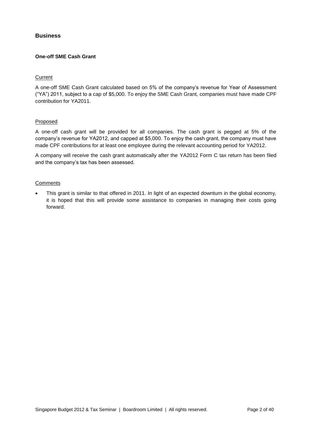# **Business**

# **One-off SME Cash Grant**

## **Current**

A one-off SME Cash Grant calculated based on 5% of the company's revenue for Year of Assessment ("YA") 2011, subject to a cap of \$5,000. To enjoy the SME Cash Grant, companies must have made CPF contribution for YA2011.

## Proposed

A one-off cash grant will be provided for all companies. The cash grant is pegged at 5% of the company's revenue for YA2012, and capped at \$5,000. To enjoy the cash grant, the company must have made CPF contributions for at least one employee during the relevant accounting period for YA2012.

A company will receive the cash grant automatically after the YA2012 Form C tax return has been filed and the company's tax has been assessed.

#### **Comments**

 This grant is similar to that offered in 2011. In light of an expected downturn in the global economy, it is hoped that this will provide some assistance to companies in managing their costs going forward.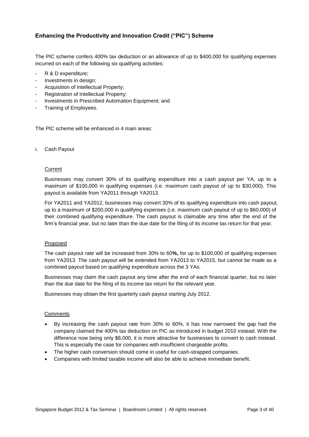# **Enhancing the Productivity and Innovation Credit ("PIC") Scheme**

The PIC scheme confers 400% tax deduction or an allowance of up to \$400,000 for qualifying expenses incurred on each of the following six qualifying activities:

- R & D expenditure;
- Investments in design:
- Acquisition of Intellectual Property;
- Registration of Intellectual Property;
- Investments in Prescribed Automation Equipment; and
- Training of Employees.

The PIC scheme will be enhanced in 4 main areas:

i. Cash Payout

#### **Current**

Businesses may convert 30% of its qualifying expenditure into a cash payout per YA, up to a maximum of \$100,000 in qualifying expenses (i.e. maximum cash payout of up to \$30,000). This payout is available from YA2011 through YA2013.

For YA2011 and YA2012, businesses may convert 30% of its qualifying expenditure into cash payout, up to a maximum of \$200,000 in qualifying expenses (i.e. maximum cash payout of up to \$60,000) of their combined qualifying expenditure. The cash payout is claimable any time after the end of the firm's financial year, but no later than the due date for the filing of its income tax return for that year.

#### Proposed

The cash payout rate will be increased from 30% to 60**%,** for up to \$100,000 of qualifying expenses from YA2013. The cash payout will be extended from YA2013 to YA2015, but cannot be made as a combined payout based on qualifying expenditure across the 3 YAs.

Businesses may claim the cash payout any time after the end of each financial quarter, but no later than the due date for the filing of its income tax return for the relevant year.

Businesses may obtain the first quarterly cash payout starting July 2012.

#### **Comments**

- By increasing the cash payout rate from 30% to 60%, it has now narrowed the gap had the company claimed the 400% tax deduction on PIC as introduced in budget 2010 instead. With the difference now being only \$8,000, it is more attractive for businesses to convert to cash instead. This is especially the case for companies with insufficient chargeable profits.
- The higher cash conversion should come in useful for cash-strapped companies.
- Companies with limited taxable income will also be able to achieve immediate benefit.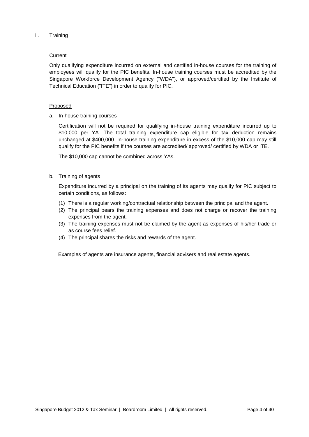ii. Training

## **Current**

Only qualifying expenditure incurred on external and certified in-house courses for the training of employees will qualify for the PIC benefits. In-house training courses must be accredited by the Singapore Workforce Development Agency ("WDA"), or approved/certified by the Institute of Technical Education ("ITE") in order to qualify for PIC.

## Proposed

a. In-house training courses

Certification will not be required for qualifying in-house training expenditure incurred up to \$10,000 per YA. The total training expenditure cap eligible for tax deduction remains unchanged at \$400,000. In-house training expenditure in excess of the \$10,000 cap may still qualify for the PIC benefits if the courses are accredited/ approved/ certified by WDA or ITE.

The \$10,000 cap cannot be combined across YAs.

## b. Training of agents

Expenditure incurred by a principal on the training of its agents may qualify for PIC subject to certain conditions, as follows:

- (1) There is a regular working/contractual relationship between the principal and the agent.
- (2) The principal bears the training expenses and does not charge or recover the training expenses from the agent.
- (3) The training expenses must not be claimed by the agent as expenses of his/her trade or as course fees relief.
- (4) The principal shares the risks and rewards of the agent.

Examples of agents are insurance agents, financial advisers and real estate agents.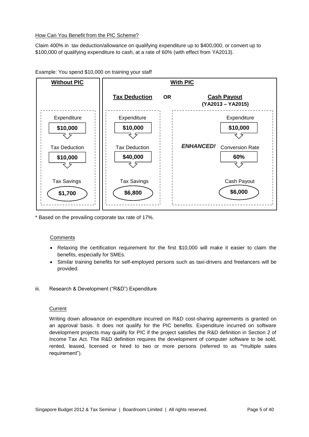## How Can You Benefit from the PIC Scheme?

Claim 400% in tax deduction/allowance on qualifying expenditure up to \$400,000, or convert up to \$100,000 of qualifying expenditure to cash, at a rate of 60% (with effect from YA2013).



Example: You spend \$10,000 on training your staff

\* Based on the prevailing corporate tax rate of 17%.

# **Comments**

- Relaxing the certification requirement for the first \$10,000 will make it easier to claim the benefits, especially for SMEs.
- Similar training benefits for self-employed persons such as taxi-drivers and freelancers will be provided.
- iii. Research & Development ("R&D") Expenditure

#### **Current**

Writing down allowance on expenditure incurred on R&D cost-sharing agreements is granted on an approval basis. It does not qualify for the PIC benefits. Expenditure incurred on software development projects may qualify for PIC if the project satisfies the R&D definition in Section 2 of Income Tax Act. The R&D definition requires the development of computer software to be sold, rented, leased, licensed or hired to two or more persons (referred to as **"**multiple sales requirement").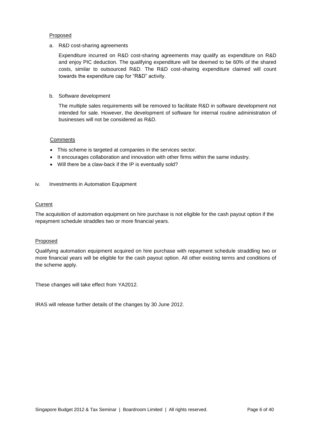#### **Proposed**

a. R&D cost-sharing agreements

Expenditure incurred on R&D cost-sharing agreements may qualify as expenditure on R&D and enjoy PIC deduction. The qualifying expenditure will be deemed to be 60% of the shared costs, similar to outsourced R&D. The R&D cost-sharing expenditure claimed will count towards the expenditure cap for "R&D" activity.

#### b. Software development

The multiple sales requirements will be removed to facilitate R&D in software development not intended for sale. However, the development of software for internal routine administration of businesses will not be considered as R&D.

#### **Comments**

- This scheme is targeted at companies in the services sector.
- It encourages collaboration and innovation with other firms within the same industry.
- Will there be a claw-back if the IP is eventually sold?

#### iv. Investments in Automation Equipment

## **Current**

The acquisition of automation equipment on hire purchase is not eligible for the cash payout option if the repayment schedule straddles two or more financial years.

#### Proposed

Qualifying automation equipment acquired on hire purchase with repayment schedule straddling two or more financial years will be eligible for the cash payout option. All other existing terms and conditions of the scheme apply.

These changes will take effect from YA2012.

IRAS will release further details of the changes by 30 June 2012.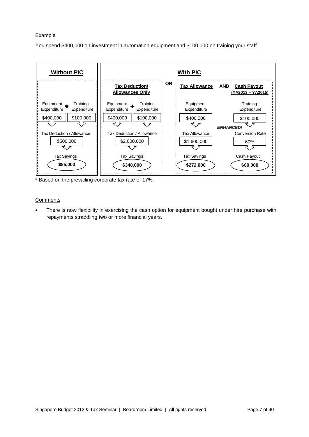#### **Example**

You spend \$400,000 on investment in automation equipment and \$100,000 on training your staff.



Based on the prevailing corporate tax rate of 17%.

## **Comments**

 There is now flexibility in exercising the cash option for equipment bought under hire purchase with repayments straddling two or more financial years.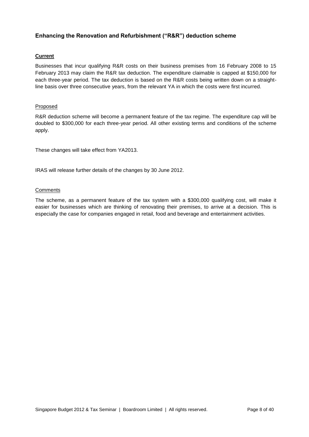# **Enhancing the Renovation and Refurbishment ("R&R") deduction scheme**

# **Current**

Businesses that incur qualifying R&R costs on their business premises from 16 February 2008 to 15 February 2013 may claim the R&R tax deduction. The expenditure claimable is capped at \$150,000 for each three-year period. The tax deduction is based on the R&R costs being written down on a straightline basis over three consecutive years, from the relevant YA in which the costs were first incurred.

# Proposed

R&R deduction scheme will become a permanent feature of the tax regime. The expenditure cap will be doubled to \$300,000 for each three-year period. All other existing terms and conditions of the scheme apply.

These changes will take effect from YA2013.

IRAS will release further details of the changes by 30 June 2012.

## **Comments**

The scheme, as a permanent feature of the tax system with a \$300,000 qualifying cost, will make it easier for businesses which are thinking of renovating their premises, to arrive at a decision. This is especially the case for companies engaged in retail, food and beverage and entertainment activities.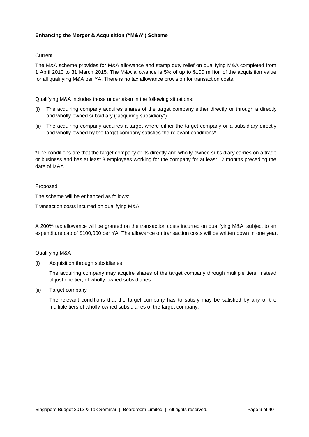# **Enhancing the Merger & Acquisition ("M&A") Scheme**

# **Current**

The M&A scheme provides for M&A allowance and stamp duty relief on qualifying M&A completed from 1 April 2010 to 31 March 2015. The M&A allowance is 5% of up to \$100 million of the acquisition value for all qualifying M&A per YA. There is no tax allowance provision for transaction costs.

Qualifying M&A includes those undertaken in the following situations:

- (i) The acquiring company acquires shares of the target company either directly or through a directly and wholly-owned subsidiary ("acquiring subsidiary").
- (ii) The acquiring company acquires a target where either the target company or a subsidiary directly and wholly-owned by the target company satisfies the relevant conditions\*.

\*The conditions are that the target company or its directly and wholly-owned subsidiary carries on a trade or business and has at least 3 employees working for the company for at least 12 months preceding the date of M&A.

## Proposed

The scheme will be enhanced as follows:

Transaction costs incurred on qualifying M&A.

A 200% tax allowance will be granted on the transaction costs incurred on qualifying M&A, subject to an expenditure cap of \$100,000 per YA. The allowance on transaction costs will be written down in one year.

#### Qualifying M&A

(i) Acquisition through subsidiaries

The acquiring company may acquire shares of the target company through multiple tiers, instead of just one tier, of wholly-owned subsidiaries.

(ii) Target company

The relevant conditions that the target company has to satisfy may be satisfied by any of the multiple tiers of wholly-owned subsidiaries of the target company.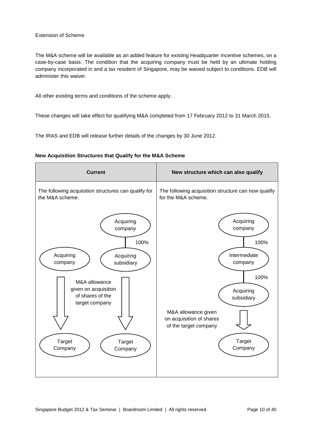## Extension of Scheme

The M&A scheme will be available as an added feature for existing Headquarter incentive schemes, on a case-by-case basis. The condition that the acquiring company must be held by an ultimate holding company incorporated in and a tax resident of Singapore, may be waived subject to conditions. EDB will administer this waiver.

All other existing terms and conditions of the scheme apply.

These changes will take effect for qualifying M&A completed from 17 February 2012 to 31 March 2015.

The IRAS and EDB will release further details of the changes by 30 June 2012.

|  | New Acquisition Structures that Qualify for the M&A Scheme |  |  |  |  |  |  |  |
|--|------------------------------------------------------------|--|--|--|--|--|--|--|
|--|------------------------------------------------------------|--|--|--|--|--|--|--|

| <b>Current</b>                                                              | New structure which can also qualify                                                                        |
|-----------------------------------------------------------------------------|-------------------------------------------------------------------------------------------------------------|
| The following acquisition structures can qualify for<br>the M&A scheme.     | The following acquisition structure can now qualify<br>for the M&A scheme.                                  |
| Acquiring<br>company<br>100%                                                | Acquiring<br>company<br>100%                                                                                |
| Acquiring<br>Acquiring<br>company<br>subsidiary                             | Intermediate<br>company                                                                                     |
| M&A allowance<br>given on acquisition<br>of shares of the<br>target company | 100%<br>Acquiring<br>subsidiary<br>M&A allowance given<br>on acquisition of shares<br>of the target company |
| Target<br><b>Target</b><br>Company<br>Company                               | <b>Target</b><br>Company                                                                                    |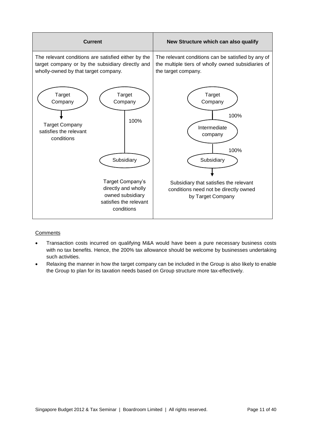

# **Comments**

- Transaction costs incurred on qualifying M&A would have been a pure necessary business costs with no tax benefits. Hence, the 200% tax allowance should be welcome by businesses undertaking such activities.
- Relaxing the manner in how the target company can be included in the Group is also likely to enable the Group to plan for its taxation needs based on Group structure more tax-effectively.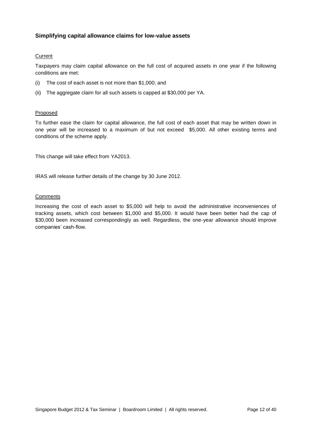# **Simplifying capital allowance claims for low-value assets**

## Current

Taxpayers may claim capital allowance on the full cost of acquired assets in one year if the following conditions are met:

- (i) The cost of each asset is not more than \$1,000; and
- (ii) The aggregate claim for all such assets is capped at \$30,000 per YA.

# Proposed

To further ease the claim for capital allowance, the full cost of each asset that may be written down in one year will be increased to a maximum of but not exceed \$5,000. All other existing terms and conditions of the scheme apply.

This change will take effect from YA2013.

IRAS will release further details of the change by 30 June 2012.

## **Comments**

Increasing the cost of each asset to \$5,000 will help to avoid the administrative inconveniences of tracking assets, which cost between \$1,000 and \$5,000. It would have been better had the cap of \$30,000 been increased correspondingly as well. Regardless, the one-year allowance should improve companies' cash-flow.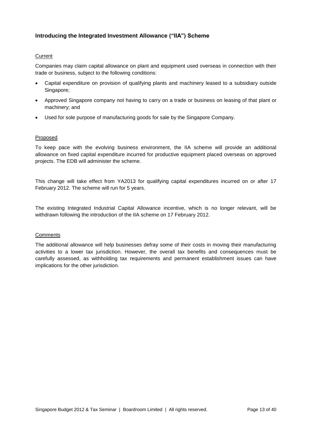# **Introducing the Integrated Investment Allowance ("IIA") Scheme**

# Current

Companies may claim capital allowance on plant and equipment used overseas in connection with their trade or business, subject to the following conditions:

- Capital expenditure on provision of qualifying plants and machinery leased to a subsidiary outside Singapore;
- Approved Singapore company not having to carry on a trade or business on leasing of that plant or machinery; and
- Used for sole purpose of manufacturing goods for sale by the Singapore Company.

# Proposed

To keep pace with the evolving business environment, the IIA scheme will provide an additional allowance on fixed capital expenditure incurred for productive equipment placed overseas on approved projects. The EDB will administer the scheme.

This change will take effect from YA2013 for qualifying capital expenditures incurred on or after 17 February 2012. The scheme will run for 5 years.

The existing Integrated Industrial Capital Allowance incentive, which is no longer relevant, will be withdrawn following the introduction of the IIA scheme on 17 February 2012.

# **Comments**

The additional allowance will help businesses defray some of their costs in moving their manufacturing activities to a lower tax jurisdiction. However, the overall tax benefits and consequences must be carefully assessed, as withholding tax requirements and permanent establishment issues can have implications for the other jurisdiction.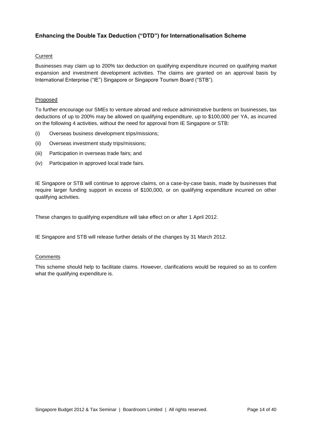# **Enhancing the Double Tax Deduction ("DTD") for Internationalisation Scheme**

# Current

Businesses may claim up to 200% tax deduction on qualifying expenditure incurred on qualifying market expansion and investment development activities. The claims are granted on an approval basis by International Enterprise ("IE") Singapore or Singapore Tourism Board ("STB").

# Proposed

To further encourage our SMEs to venture abroad and reduce administrative burdens on businesses, tax deductions of up to 200% may be allowed on qualifying expenditure, up to \$100,000 per YA, as incurred on the following 4 activities, without the need for approval from IE Singapore or STB:

- (i) Overseas business development trips/missions;
- (ii) Overseas investment study trips/missions;
- (iii) Participation in overseas trade fairs; and
- (iv) Participation in approved local trade fairs.

IE Singapore or STB will continue to approve claims, on a case-by-case basis, made by businesses that require larger funding support in excess of \$100,000, or on qualifying expenditure incurred on other qualifying activities.

These changes to qualifying expenditure will take effect on or after 1 April 2012.

IE Singapore and STB will release further details of the changes by 31 March 2012.

# **Comments**

This scheme should help to facilitate claims. However, clarifications would be required so as to confirm what the qualifying expenditure is.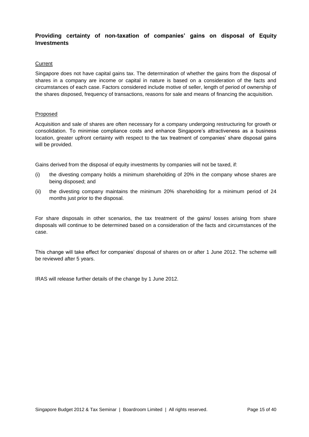# **Providing certainty of non-taxation of companies' gains on disposal of Equity Investments**

#### **Current**

Singapore does not have capital gains tax. The determination of whether the gains from the disposal of shares in a company are income or capital in nature is based on a consideration of the facts and circumstances of each case. Factors considered include motive of seller, length of period of ownership of the shares disposed, frequency of transactions, reasons for sale and means of financing the acquisition.

## Proposed

Acquisition and sale of shares are often necessary for a company undergoing restructuring for growth or consolidation. To minimise compliance costs and enhance Singapore's attractiveness as a business location, greater upfront certainty with respect to the tax treatment of companies' share disposal gains will be provided.

Gains derived from the disposal of equity investments by companies will not be taxed, if:

- (i) the divesting company holds a minimum shareholding of 20% in the company whose shares are being disposed; and
- (ii) the divesting company maintains the minimum 20% shareholding for a minimum period of 24 months just prior to the disposal.

For share disposals in other scenarios, the tax treatment of the gains/ losses arising from share disposals will continue to be determined based on a consideration of the facts and circumstances of the case.

This change will take effect for companies' disposal of shares on or after 1 June 2012. The scheme will be reviewed after 5 years.

IRAS will release further details of the change by 1 June 2012.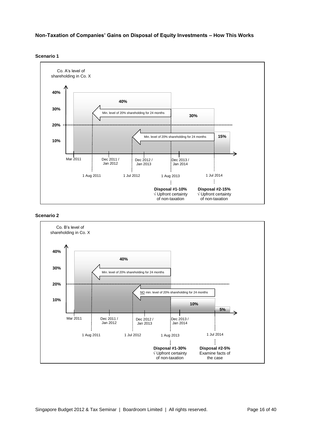**Non-Taxation of Companies' Gains on Disposal of Equity Investments – How This Works** 





#### **Scenario 2**

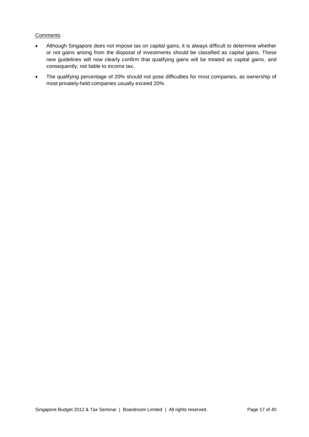## **Comments**

- Although Singapore does not impose tax on capital gains, it is always difficult to determine whether or not gains arising from the disposal of investments should be classified as capital gains. These new guidelines will now clearly confirm that qualifying gains will be treated as capital gains, and consequently, not liable to income tax.
- The qualifying percentage of 20% should not pose difficulties for most companies, as ownership of most privately-held companies usually exceed 20%.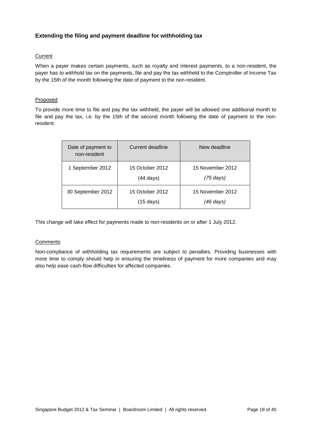# **Extending the filing and payment deadline for withholding tax**

# Current

When a payer makes certain payments, such as royalty and interest payments, to a non-resident, the payer has to withhold tax on the payments, file and pay the tax withheld to the Comptroller of Income Tax by the 15th of the month following the date of payment to the non-resident.

# Proposed

To provide more time to file and pay the tax withheld, the payer will be allowed one additional month to file and pay the tax, i.e. by the 15th of the second month following the date of payment to the nonresident.

| Date of payment to<br>non-resident | Current deadline                       | New deadline                  |
|------------------------------------|----------------------------------------|-------------------------------|
| 1 September 2012                   | 15 October 2012<br>$(44 \text{ days})$ | 15 November 2012<br>(75 days) |
| 30 September 2012                  | 15 October 2012<br>$(15 \text{ days})$ | 15 November 2012<br>(46 days) |

This change will take effect for payments made to non-residents on or after 1 July 2012.

# **Comments**

Non-compliance of withholding tax requirements are subject to penalties. Providing businesses with more time to comply should help in ensuring the timeliness of payment for more companies and may also help ease cash-flow difficulties for affected companies.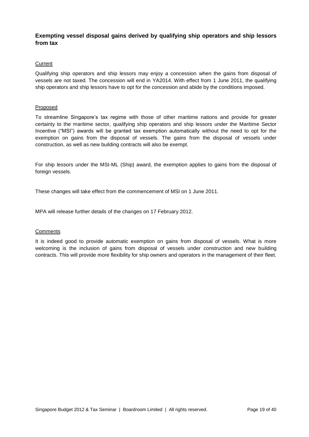# **Exempting vessel disposal gains derived by qualifying ship operators and ship lessors from tax**

## **Current**

Qualifying ship operators and ship lessors may enjoy a concession when the gains from disposal of vessels are not taxed. The concession will end in YA2014. With effect from 1 June 2011, the qualifying ship operators and ship lessors have to opt for the concession and abide by the conditions imposed.

#### **Proposed**

To streamline Singapore's tax regime with those of other maritime nations and provide for greater certainty to the maritime sector, qualifying ship operators and ship lessors under the Maritime Sector Incentive ("MSI") awards will be granted tax exemption automatically without the need to opt for the exemption on gains from the disposal of vessels. The gains from the disposal of vessels under construction, as well as new building contracts will also be exempt.

For ship lessors under the MSI-ML (Ship) award, the exemption applies to gains from the disposal of foreign vessels.

These changes will take effect from the commencement of MSI on 1 June 2011.

MPA will release further details of the changes on 17 February 2012.

#### **Comments**

It is indeed good to provide automatic exemption on gains from disposal of vessels. What is more welcoming is the inclusion of gains from disposal of vessels under construction and new building contracts. This will provide more flexibility for ship owners and operators in the management of their fleet.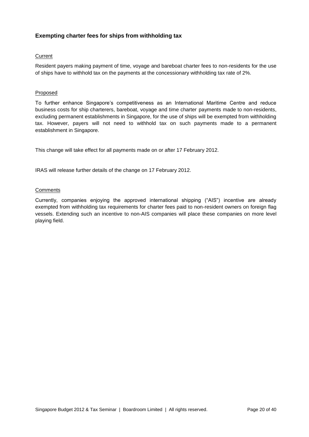# **Exempting charter fees for ships from withholding tax**

# Current

Resident payers making payment of time, voyage and bareboat charter fees to non-residents for the use of ships have to withhold tax on the payments at the concessionary withholding tax rate of 2%.

## **Proposed**

To further enhance Singapore's competitiveness as an International Maritime Centre and reduce business costs for ship charterers, bareboat, voyage and time charter payments made to non-residents, excluding permanent establishments in Singapore, for the use of ships will be exempted from withholding tax. However, payers will not need to withhold tax on such payments made to a permanent establishment in Singapore.

This change will take effect for all payments made on or after 17 February 2012.

IRAS will release further details of the change on 17 February 2012.

## **Comments**

Currently, companies enjoying the approved international shipping ("AIS") incentive are already exempted from withholding tax requirements for charter fees paid to non-resident owners on foreign flag vessels. Extending such an incentive to non-AIS companies will place these companies on more level playing field.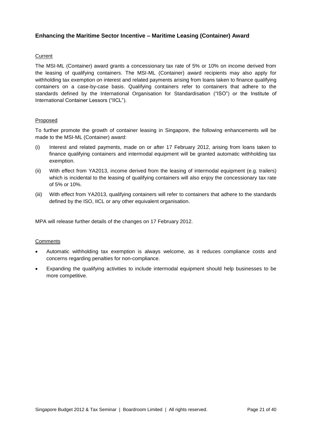# **Enhancing the Maritime Sector Incentive – Maritime Leasing (Container) Award**

# Current

The MSI-ML (Container) award grants a concessionary tax rate of 5% or 10% on income derived from the leasing of qualifying containers. The MSI-ML (Container) award recipients may also apply for withholding tax exemption on interest and related payments arising from loans taken to finance qualifying containers on a case-by-case basis. Qualifying containers refer to containers that adhere to the standards defined by the International Organisation for Standardisation ("ISO") or the Institute of International Container Lessors ("IICL").

## Proposed

To further promote the growth of container leasing in Singapore, the following enhancements will be made to the MSI-ML (Container) award:

- (i) Interest and related payments, made on or after 17 February 2012, arising from loans taken to finance qualifying containers and intermodal equipment will be granted automatic withholding tax exemption.
- (ii) With effect from YA2013, income derived from the leasing of intermodal equipment (e.g. trailers) which is incidental to the leasing of qualifying containers will also enjoy the concessionary tax rate of 5% or 10%.
- (iii) With effect from YA2013, qualifying containers will refer to containers that adhere to the standards defined by the ISO, IICL or any other equivalent organisation.

MPA will release further details of the changes on 17 February 2012.

#### **Comments**

- Automatic withholding tax exemption is always welcome, as it reduces compliance costs and concerns regarding penalties for non-compliance.
- Expanding the qualifying activities to include intermodal equipment should help businesses to be more competitive.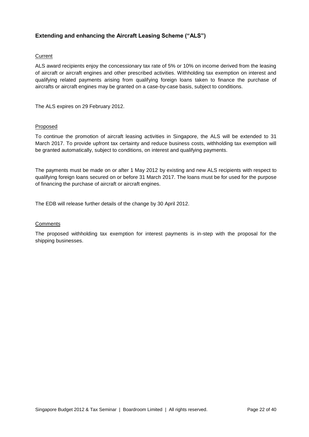# **Extending and enhancing the Aircraft Leasing Scheme ("ALS")**

# **Current**

ALS award recipients enjoy the concessionary tax rate of 5% or 10% on income derived from the leasing of aircraft or aircraft engines and other prescribed activities. Withholding tax exemption on interest and qualifying related payments arising from qualifying foreign loans taken to finance the purchase of aircrafts or aircraft engines may be granted on a case-by-case basis, subject to conditions.

The ALS expires on 29 February 2012.

## Proposed

To continue the promotion of aircraft leasing activities in Singapore, the ALS will be extended to 31 March 2017. To provide upfront tax certainty and reduce business costs, withholding tax exemption will be granted automatically, subject to conditions, on interest and qualifying payments.

The payments must be made on or after 1 May 2012 by existing and new ALS recipients with respect to qualifying foreign loans secured on or before 31 March 2017. The loans must be for used for the purpose of financing the purchase of aircraft or aircraft engines.

The EDB will release further details of the change by 30 April 2012.

#### **Comments**

The proposed withholding tax exemption for interest payments is in-step with the proposal for the shipping businesses.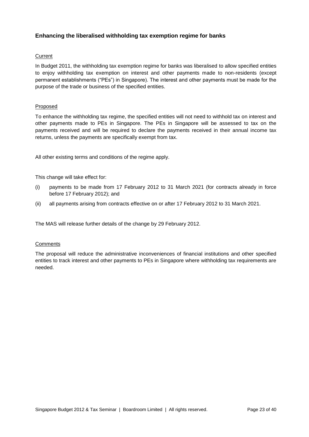# **Enhancing the liberalised withholding tax exemption regime for banks**

## **Current**

In Budget 2011, the withholding tax exemption regime for banks was liberalised to allow specified entities to enjoy withholding tax exemption on interest and other payments made to non-residents (except permanent establishments ("PEs") in Singapore). The interest and other payments must be made for the purpose of the trade or business of the specified entities.

## Proposed

To enhance the withholding tax regime, the specified entities will not need to withhold tax on interest and other payments made to PEs in Singapore. The PEs in Singapore will be assessed to tax on the payments received and will be required to declare the payments received in their annual income tax returns, unless the payments are specifically exempt from tax.

All other existing terms and conditions of the regime apply.

This change will take effect for:

- (i) payments to be made from 17 February 2012 to 31 March 2021 (for contracts already in force before 17 February 2012); and
- (ii) all payments arising from contracts effective on or after 17 February 2012 to 31 March 2021.

The MAS will release further details of the change by 29 February 2012.

#### **Comments**

The proposal will reduce the administrative inconveniences of financial institutions and other specified entities to track interest and other payments to PEs in Singapore where withholding tax requirements are needed.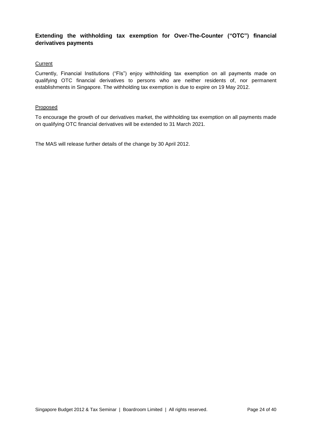# **Extending the withholding tax exemption for Over-The-Counter ("OTC") financial derivatives payments**

## **Current**

Currently, Financial Institutions ("FIs") enjoy withholding tax exemption on all payments made on qualifying OTC financial derivatives to persons who are neither residents of, nor permanent establishments in Singapore. The withholding tax exemption is due to expire on 19 May 2012.

## Proposed

To encourage the growth of our derivatives market, the withholding tax exemption on all payments made on qualifying OTC financial derivatives will be extended to 31 March 2021.

The MAS will release further details of the change by 30 April 2012.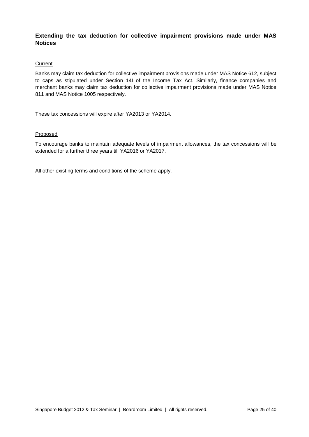# **Extending the tax deduction for collective impairment provisions made under MAS Notices**

#### **Current**

Banks may claim tax deduction for collective impairment provisions made under MAS Notice 612, subject to caps as stipulated under Section 14I of the Income Tax Act. Similarly, finance companies and merchant banks may claim tax deduction for collective impairment provisions made under MAS Notice 811 and MAS Notice 1005 respectively.

These tax concessions will expire after YA2013 or YA2014.

## Proposed

To encourage banks to maintain adequate levels of impairment allowances, the tax concessions will be extended for a further three years till YA2016 or YA2017.

All other existing terms and conditions of the scheme apply.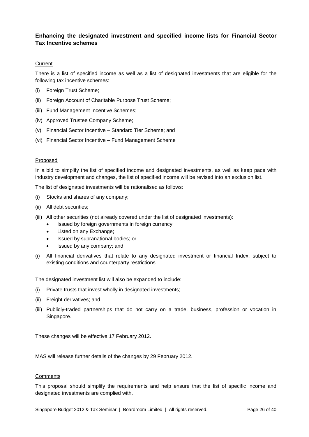# **Enhancing the designated investment and specified income lists for Financial Sector Tax Incentive schemes**

## **Current**

There is a list of specified income as well as a list of designated investments that are eligible for the following tax incentive schemes:

- (i) Foreign Trust Scheme;
- (ii) Foreign Account of Charitable Purpose Trust Scheme;
- (iii) Fund Management Incentive Schemes;
- (iv) Approved Trustee Company Scheme;
- (v) Financial Sector Incentive Standard Tier Scheme; and
- (vi) Financial Sector Incentive Fund Management Scheme

#### Proposed

In a bid to simplify the list of specified income and designated investments, as well as keep pace with industry development and changes, the list of specified income will be revised into an exclusion list.

The list of designated investments will be rationalised as follows:

- (i) Stocks and shares of any company;
- (ii) All debt securities;
- (iii) All other securities (not already covered under the list of designated investments):
	- Issued by foreign governments in foreign currency;
	- Listed on any Exchange;
	- Issued by supranational bodies; or
	- Issued by any company; and
- (i) All financial derivatives that relate to any designated investment or financial Index, subject to existing conditions and counterparty restrictions.

The designated investment list will also be expanded to include:

- (i) Private trusts that invest wholly in designated investments;
- (ii) Freight derivatives; and
- (iii) Publicly-traded partnerships that do not carry on a trade, business, profession or vocation in Singapore.

These changes will be effective 17 February 2012.

MAS will release further details of the changes by 29 February 2012.

#### **Comments**

This proposal should simplify the requirements and help ensure that the list of specific income and designated investments are complied with.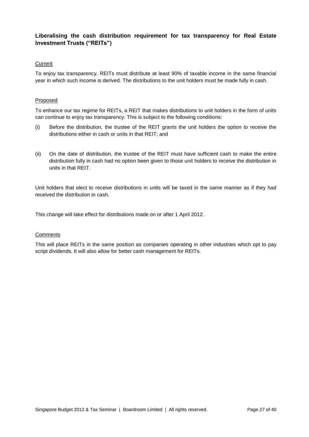# **Liberalising the cash distribution requirement for tax transparency for Real Estate Investment Trusts ("REITs")**

## **Current**

To enjoy tax transparency, REITs must distribute at least 90% of taxable income in the same financial year in which such income is derived. The distributions to the unit holders must be made fully in cash.

#### Proposed

To enhance our tax regime for REITs, a REIT that makes distributions to unit holders in the form of units can continue to enjoy tax transparency. This is subject to the following conditions:

- (i) Before the distribution, the trustee of the REIT grants the unit holders the option to receive the distributions either in cash or units in that REIT; and
- (ii) On the date of distribution, the trustee of the REIT must have sufficient cash to make the entire distribution fully in cash had no option been given to those unit holders to receive the distribution in units in that REIT.

Unit holders that elect to receive distributions in units will be taxed in the same manner as if they had received the distribution in cash.

This change will take effect for distributions made on or after 1 April 2012.

#### **Comments**

This will place REITs in the same position as companies operating in other industries which opt to pay script dividends. It will also allow for better cash management for REITs.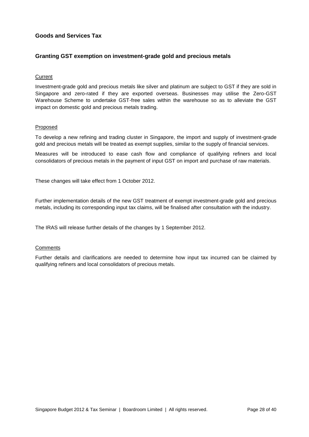# **Goods and Services Tax**

# **Granting GST exemption on investment-grade gold and precious metals**

## **Current**

Investment-grade gold and precious metals like silver and platinum are subject to GST if they are sold in Singapore and zero-rated if they are exported overseas. Businesses may utilise the Zero-GST Warehouse Scheme to undertake GST-free sales within the warehouse so as to alleviate the GST impact on domestic gold and precious metals trading.

#### **Proposed**

To develop a new refining and trading cluster in Singapore, the import and supply of investment-grade gold and precious metals will be treated as exempt supplies, similar to the supply of financial services.

Measures will be introduced to ease cash flow and compliance of qualifying refiners and local consolidators of precious metals in the payment of input GST on import and purchase of raw materials.

These changes will take effect from 1 October 2012.

Further implementation details of the new GST treatment of exempt investment-grade gold and precious metals, including its corresponding input tax claims, will be finalised after consultation with the industry.

The IRAS will release further details of the changes by 1 September 2012.

#### **Comments**

Further details and clarifications are needed to determine how input tax incurred can be claimed by qualifying refiners and local consolidators of precious metals.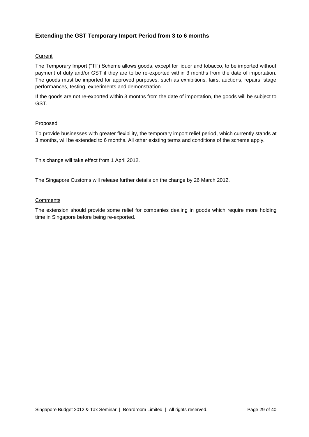# **Extending the GST Temporary Import Period from 3 to 6 months**

# Current

The Temporary Import ("TI") Scheme allows goods, except for liquor and tobacco, to be imported without payment of duty and/or GST if they are to be re-exported within 3 months from the date of importation. The goods must be imported for approved purposes, such as exhibitions, fairs, auctions, repairs, stage performances, testing, experiments and demonstration.

If the goods are not re-exported within 3 months from the date of importation, the goods will be subject to GST.

# Proposed

To provide businesses with greater flexibility, the temporary import relief period, which currently stands at 3 months, will be extended to 6 months. All other existing terms and conditions of the scheme apply.

This change will take effect from 1 April 2012.

The Singapore Customs will release further details on the change by 26 March 2012.

## **Comments**

The extension should provide some relief for companies dealing in goods which require more holding time in Singapore before being re-exported.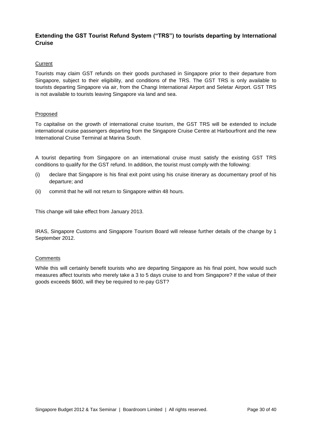# **Extending the GST Tourist Refund System ("TRS") to tourists departing by International Cruise**

## **Current**

Tourists may claim GST refunds on their goods purchased in Singapore prior to their departure from Singapore, subject to their eligibility, and conditions of the TRS. The GST TRS is only available to tourists departing Singapore via air, from the Changi International Airport and Seletar Airport. GST TRS is not available to tourists leaving Singapore via land and sea.

## Proposed

To capitalise on the growth of international cruise tourism, the GST TRS will be extended to include international cruise passengers departing from the Singapore Cruise Centre at Harbourfront and the new International Cruise Terminal at Marina South.

A tourist departing from Singapore on an international cruise must satisfy the existing GST TRS conditions to qualify for the GST refund. In addition, the tourist must comply with the following:

- (i) declare that Singapore is his final exit point using his cruise itinerary as documentary proof of his departure; and
- (ii) commit that he will not return to Singapore within 48 hours.

This change will take effect from January 2013.

IRAS, Singapore Customs and Singapore Tourism Board will release further details of the change by 1 September 2012.

# **Comments**

While this will certainly benefit tourists who are departing Singapore as his final point, how would such measures affect tourists who merely take a 3 to 5 days cruise to and from Singapore? If the value of their goods exceeds \$600, will they be required to re-pay GST?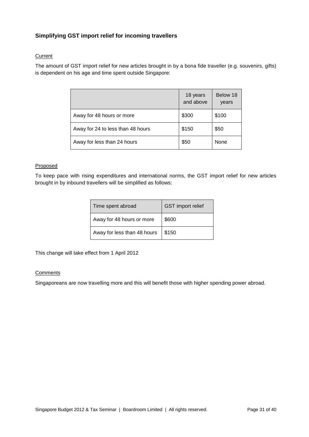# **Simplifying GST import relief for incoming travellers**

# **Current**

The amount of GST import relief for new articles brought in by a bona fide traveller (e.g. souvenirs, gifts) is dependent on his age and time spent outside Singapore:

|                                   | 18 years<br>and above | Below 18<br>years |
|-----------------------------------|-----------------------|-------------------|
| Away for 48 hours or more         | \$300                 | \$100             |
| Away for 24 to less than 48 hours | \$150                 | \$50              |
| Away for less than 24 hours       | \$50                  | None              |

# **Proposed**

To keep pace with rising expenditures and international norms, the GST import relief for new articles brought in by inbound travellers will be simplified as follows:

| Time spent abroad           | <b>GST</b> import relief |
|-----------------------------|--------------------------|
| Away for 48 hours or more   | \$600                    |
| Away for less than 48 hours | \$150                    |

This change will take effect from 1 April 2012

## **Comments**

Singaporeans are now travelling more and this will benefit those with higher spending power abroad.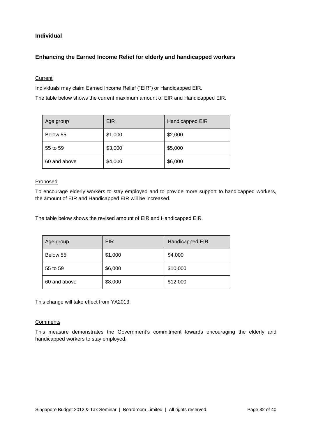# **Individual**

# **Enhancing the Earned Income Relief for elderly and handicapped workers**

# **Current**

Individuals may claim Earned Income Relief ("EIR") or Handicapped EIR.

The table below shows the current maximum amount of EIR and Handicapped EIR.

| Age group    | <b>EIR</b> | Handicapped EIR |
|--------------|------------|-----------------|
| Below 55     | \$1,000    | \$2,000         |
| 55 to 59     | \$3,000    | \$5,000         |
| 60 and above | \$4,000    | \$6,000         |

## Proposed

To encourage elderly workers to stay employed and to provide more support to handicapped workers, the amount of EIR and Handicapped EIR will be increased.

The table below shows the revised amount of EIR and Handicapped EIR.

| Age group    | <b>EIR</b> | Handicapped EIR |
|--------------|------------|-----------------|
| Below 55     | \$1,000    | \$4,000         |
| 55 to 59     | \$6,000    | \$10,000        |
| 60 and above | \$8,000    | \$12,000        |

This change will take effect from YA2013.

#### **Comments**

This measure demonstrates the Government's commitment towards encouraging the elderly and handicapped workers to stay employed.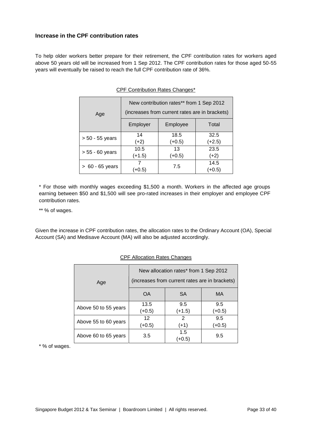# **Increase in the CPF contribution rates**

To help older workers better prepare for their retirement, the CPF contribution rates for workers aged above 50 years old will be increased from 1 Sep 2012. The CPF contribution rates for those aged 50-55 years will eventually be raised to reach the full CPF contribution rate of 36%.

| Age               | New contribution rates** from 1 Sep 2012<br>(increases from current rates are in brackets) |          |        |
|-------------------|--------------------------------------------------------------------------------------------|----------|--------|
|                   | Employer                                                                                   | Employee | Total  |
|                   | 14                                                                                         | 18.5     | 32.5   |
| $> 50 - 55$ years | $(+2)$                                                                                     | $(+0.5)$ | (+2.5) |
|                   | 10.5                                                                                       | 13       | 23.5   |
| $> 55 - 60$ years | $(+1.5)$                                                                                   | (+0.5)   | $(+2)$ |
|                   |                                                                                            | 7.5      | 14.5   |
| $> 60 - 65$ years | $+0.5$                                                                                     |          | (+0.5) |

# CPF Contribution Rates Changes\*

\* For those with monthly wages exceeding \$1,500 a month. Workers in the affected age groups earning between \$50 and \$1,500 will see pro-rated increases in their employer and employee CPF contribution rates.

\*\* % of wages.

Given the increase in CPF contribution rates, the allocation rates to the Ordinary Account (OA), Special Account (SA) and Medisave Account (MA) will also be adjusted accordingly.

| Age                  | New allocation rates* from 1 Sep 2012<br>(increases from current rates are in brackets) |               |          |  |
|----------------------|-----------------------------------------------------------------------------------------|---------------|----------|--|
|                      | <b>OA</b>                                                                               | <b>SA</b>     | MA       |  |
| Above 50 to 55 years | 13.5                                                                                    | 9.5           | 9.5      |  |
|                      | $(+0.5)$                                                                                | $(+1.5)$      | $(+0.5)$ |  |
|                      | 12                                                                                      | 2             | 9.5      |  |
| Above 55 to 60 years | $(+0.5)$                                                                                | $(+1)$        | $(+0.5)$ |  |
| Above 60 to 65 years | 3.5                                                                                     | 1.5<br>$+0.5$ | 9.5      |  |

#### CPF Allocation Rates Changes

\* % of wages.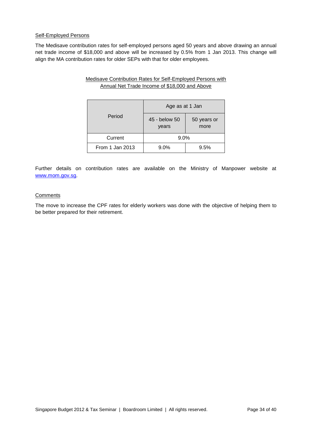#### Self-Employed Persons

The Medisave contribution rates for self-employed persons aged 50 years and above drawing an annual net trade income of \$18,000 and above will be increased by 0.5% from 1 Jan 2013. This change will align the MA contribution rates for older SEPs with that for older employees.

> Medisave Contribution Rates for Self-Employed Persons with Annual Net Trade Income of \$18,000 and Above

|                 | Age as at 1 Jan                               |      |  |
|-----------------|-----------------------------------------------|------|--|
| Period          | 45 - below 50<br>50 years or<br>more<br>years |      |  |
| Current         | 9.0%                                          |      |  |
| From 1 Jan 2013 | 9.0%                                          | 9.5% |  |

Further details on contribution rates are available on the Ministry of Manpower website at [www.mom.gov.sg.](http://www.mom.gov.sg/)

## **Comments**

The move to increase the CPF rates for elderly workers was done with the objective of helping them to be better prepared for their retirement.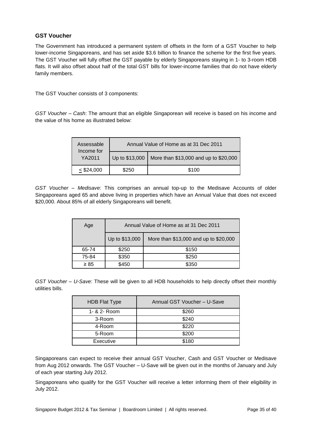# **GST Voucher**

The Government has introduced a permanent system of offsets in the form of a GST Voucher to help lower-income Singaporeans, and has set aside \$3.6 billion to finance the scheme for the first five years. The GST Voucher will fully offset the GST payable by elderly Singaporeans staying in 1- to 3-room HDB flats. It will also offset about half of the total GST bills for lower-income families that do not have elderly family members.

The GST Voucher consists of 3 components:

*GST Voucher – Cash*: The amount that an eligible Singaporean will receive is based on his income and the value of his home as illustrated below:

| Assessable<br>Income for | Annual Value of Home as at 31 Dec 2011 |                                       |
|--------------------------|----------------------------------------|---------------------------------------|
| YA2011                   | Up to \$13,000                         | More than \$13,000 and up to \$20,000 |
| $<$ \$24,000             | \$250                                  | \$100                                 |

*GST Voucher – Medisave*: This comprises an annual top-up to the Medisave Accounts of older Singaporeans aged 65 and above living in properties which have an Annual Value that does not exceed \$20,000. About 85% of all elderly Singaporeans will benefit.

| Age       | Annual Value of Home as at 31 Dec 2011 |                                       |  |
|-----------|----------------------------------------|---------------------------------------|--|
|           | Up to \$13,000                         | More than \$13,000 and up to \$20,000 |  |
| 65-74     | \$250                                  | \$150                                 |  |
| 75-84     | \$350                                  | \$250                                 |  |
| $\geq 85$ | \$450                                  | \$350                                 |  |

*GST Voucher – U-Save*: These will be given to all HDB households to help directly offset their monthly utilities bills.

| <b>HDB Flat Type</b> | Annual GST Voucher - U-Save |
|----------------------|-----------------------------|
| 1- & 2- Room         | \$260                       |
| 3-Room               | \$240                       |
| 4-Room               | \$220                       |
| 5-Room               | \$200                       |
| Executive            | \$180                       |

Singaporeans can expect to receive their annual GST Voucher, Cash and GST Voucher or Medisave from Aug 2012 onwards. The GST Voucher – U-Save will be given out in the months of January and July of each year starting July 2012.

Singaporeans who qualify for the GST Voucher will receive a letter informing them of their eligibility in July 2012.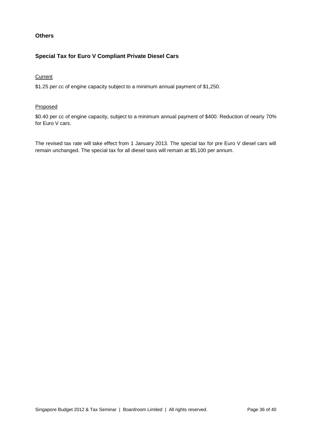# **Others**

# **Special Tax for Euro V Compliant Private Diesel Cars**

# **Current**

\$1.25 per cc of engine capacity subject to a minimum annual payment of \$1,250.

## Proposed

\$0.40 per cc of engine capacity, subject to a minimum annual payment of \$400. Reduction of nearly 70% for Euro V cars.

The revised tax rate will take effect from 1 January 2013. The special tax for pre Euro V diesel cars will remain unchanged. The special tax for all diesel taxis will remain at \$5,100 per annum.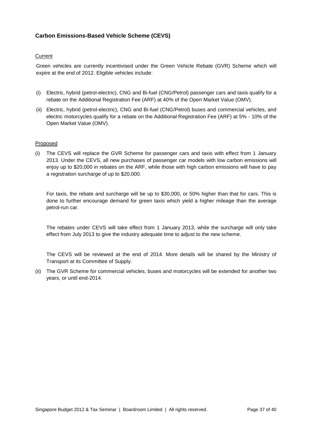# **Carbon Emissions-Based Vehicle Scheme (CEVS)**

## Current

Green vehicles are currently incentivised under the Green Vehicle Rebate (GVR) Scheme which will expire at the end of 2012. Eligible vehicles include:

- (i) Electric, hybrid (petrol-electric), CNG and Bi-fuel (CNG/Petrol) passenger cars and taxis qualify for a rebate on the Additional Registration Fee (ARF) at 40% of the Open Market Value (OMV).
- (ii) Electric, hybrid (petrol-electric), CNG and Bi-fuel (CNG/Petrol) buses and commercial vehicles, and electric motorcycles qualify for a rebate on the Additional Registration Fee (ARF) at 5% - 10% of the Open Market Value (OMV).

#### Proposed

(i) The CEVS will replace the GVR Scheme for passenger cars and taxis with effect from 1 January 2013. Under the CEVS, all new purchases of passenger car models with low carbon emissions will enjoy up to \$20,000 in rebates on the ARF, while those with high carbon emissions will have to pay a registration surcharge of up to \$20,000.

For taxis, the rebate and surcharge will be up to \$30,000, or 50% higher than that for cars. This is done to further encourage demand for green taxis which yield a higher mileage than the average petrol-run car.

The rebates under CEVS will take effect from 1 January 2013, while the surcharge will only take effect from July 2013 to give the industry adequate time to adjust to the new scheme.

The CEVS will be reviewed at the end of 2014. More details will be shared by the Ministry of Transport at its Committee of Supply.

(ii) The GVR Scheme for commercial vehicles, buses and motorcycles will be extended for another two years, or until end-2014.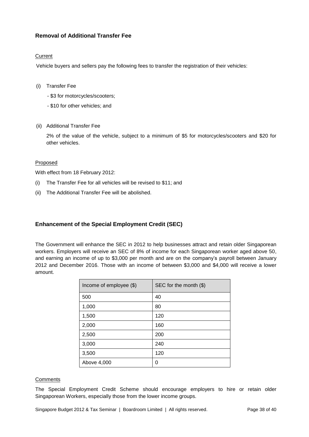# **Removal of Additional Transfer Fee**

# Current

Vehicle buyers and sellers pay the following fees to transfer the registration of their vehicles:

- (i) Transfer Fee
	- \$3 for motorcycles/scooters;
	- \$10 for other vehicles; and
- (ii) Additional Transfer Fee

2% of the value of the vehicle, subject to a minimum of \$5 for motorcycles/scooters and \$20 for other vehicles.

# Proposed

With effect from 18 February 2012:

- (i) The Transfer Fee for all vehicles will be revised to \$11; and
- (ii) The Additional Transfer Fee will be abolished.

# **Enhancement of the Special Employment Credit (SEC)**

The Government will enhance the SEC in 2012 to help businesses attract and retain older Singaporean workers. Employers will receive an SEC of 8% of income for each Singaporean worker aged above 50, and earning an income of up to \$3,000 per month and are on the company's payroll between January 2012 and December 2016. Those with an income of between \$3,000 and \$4,000 will receive a lower amount.

| Income of employee $(\$)$ | SEC for the month $(\$)$ |
|---------------------------|--------------------------|
| 500                       | 40                       |
| 1,000                     | 80                       |
| 1,500                     | 120                      |
| 2,000                     | 160                      |
| 2,500                     | 200                      |
| 3,000                     | 240                      |
| 3,500                     | 120                      |
| Above 4,000               | 0                        |

# **Comments**

The Special Employment Credit Scheme should encourage employers to hire or retain older Singaporean Workers, especially those from the lower income groups.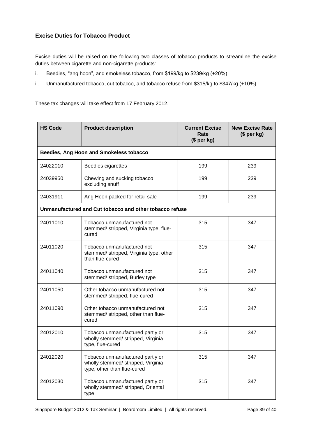# **Excise Duties for Tobacco Product**

Excise duties will be raised on the following two classes of tobacco products to streamline the excise duties between cigarette and non-cigarette products:

- i. Beedies, "ang hoon", and smokeless tobacco, from \$199/kg to \$239/kg (+20%)
- ii. Unmanufactured tobacco, cut tobacco, and tobacco refuse from \$315/kg to \$347/kg (+10%)

These tax changes will take effect from 17 February 2012.

| <b>HS Code</b>                          | <b>Product description</b>                                                                            | <b>Current Excise</b><br>Rate<br>(\$ per kg) | <b>New Excise Rate</b><br>(\$ per kg) |  |
|-----------------------------------------|-------------------------------------------------------------------------------------------------------|----------------------------------------------|---------------------------------------|--|
| Beedies, Ang Hoon and Smokeless tobacco |                                                                                                       |                                              |                                       |  |
| 24022010                                | Beedies cigarettes                                                                                    | 199                                          | 239                                   |  |
| 24039950                                | Chewing and sucking tobacco<br>excluding snuff                                                        | 199                                          | 239                                   |  |
| 24031911                                | Ang Hoon packed for retail sale                                                                       | 199                                          | 239                                   |  |
|                                         | Unmanufactured and Cut tobacco and other tobacco refuse                                               |                                              |                                       |  |
| 24011010                                | Tobacco unmanufactured not<br>stemmed/ stripped, Virginia type, flue-<br>cured                        | 315                                          | 347                                   |  |
| 24011020                                | Tobacco unmanufactured not<br>stemmed/ stripped, Virginia type, other<br>than flue-cured              | 315                                          | 347                                   |  |
| 24011040                                | Tobacco unmanufactured not<br>stemmed/ stripped, Burley type                                          | 315                                          | 347                                   |  |
| 24011050                                | Other tobacco unmanufactured not<br>stemmed/ stripped, flue-cured                                     | 315                                          | 347                                   |  |
| 24011090                                | Other tobacco unmanufactured not<br>stemmed/ stripped, other than flue-<br>cured                      | 315                                          | 347                                   |  |
| 24012010                                | Tobacco unmanufactured partly or<br>wholly stemmed/ stripped, Virginia<br>type, flue-cured            | 315                                          | 347                                   |  |
| 24012020                                | Tobacco unmanufactured partly or<br>wholly stemmed/ stripped, Virginia<br>type, other than flue-cured | 315                                          | 347                                   |  |
| 24012030                                | Tobacco unmanufactured partly or<br>wholly stemmed/ stripped, Oriental<br>type                        | 315                                          | 347                                   |  |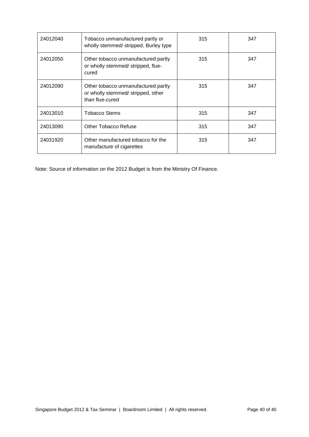| 24012040 | Tobacco unmanufactured partly or<br>wholly stemmed/ stripped, Burley type                   | 315 | 347 |
|----------|---------------------------------------------------------------------------------------------|-----|-----|
| 24012050 | Other tobacco unmanufactured partly<br>or wholly stemmed/ stripped, flue-<br>cured          | 315 | 347 |
| 24012090 | Other tobacco unmanufactured partly<br>or wholly stemmed/stripped, other<br>than flue-cured | 315 | 347 |
| 24013010 | <b>Tobacco Stems</b>                                                                        | 315 | 347 |
| 24013090 | Other Tobacco Refuse                                                                        | 315 | 347 |
| 24031920 | Other manufactured tobacco for the<br>manufacture of cigarettes                             | 315 | 347 |

Note: Source of information on the 2012 Budget is from the Ministry Of Finance.